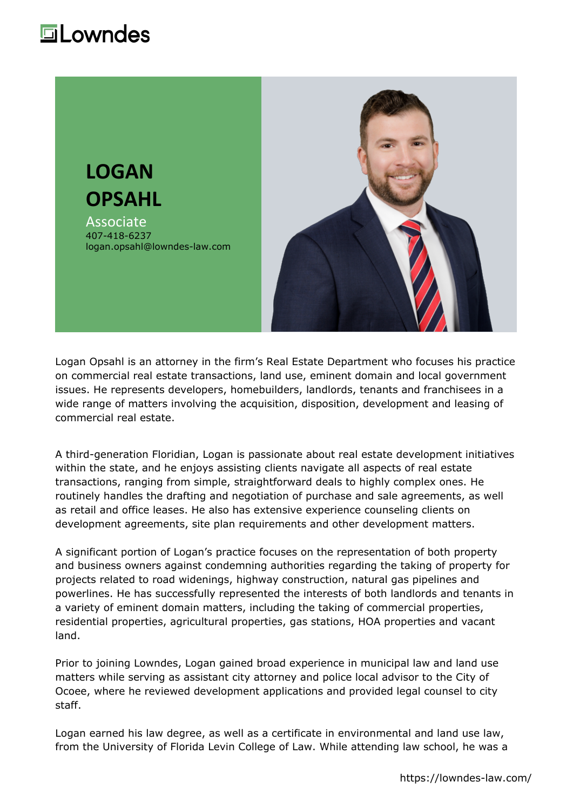# **Lowndes**



Logan Opsahl is an attorney in the firm's Real Estate Department who focuses his practice on commercial real estate transactions, land use, eminent domain and local government issues. He represents developers, homebuilders, landlords, tenants and franchisees in a wide range of matters involving the acquisition, disposition, development and leasing of commercial real estate.

A third-generation Floridian, Logan is passionate about real estate development initiatives within the state, and he enjoys assisting clients navigate all aspects of real estate transactions, ranging from simple, straightforward deals to highly complex ones. He routinely handles the drafting and negotiation of purchase and sale agreements, as well as retail and office leases. He also has extensive experience counseling clients on development agreements, site plan requirements and other development matters.

A significant portion of Logan's practice focuses on the representation of both property and business owners against condemning authorities regarding the taking of property for projects related to road widenings, highway construction, natural gas pipelines and powerlines. He has successfully represented the interests of both landlords and tenants in a variety of eminent domain matters, including the taking of commercial properties, residential properties, agricultural properties, gas stations, HOA properties and vacant land.

Prior to joining Lowndes, Logan gained broad experience in municipal law and land use matters while serving as assistant city attorney and police local advisor to the City of Ocoee, where he reviewed development applications and provided legal counsel to city staff.

Logan earned his law degree, as well as a certificate in environmental and land use law, from the University of Florida Levin College of Law. While attending law school, he was a